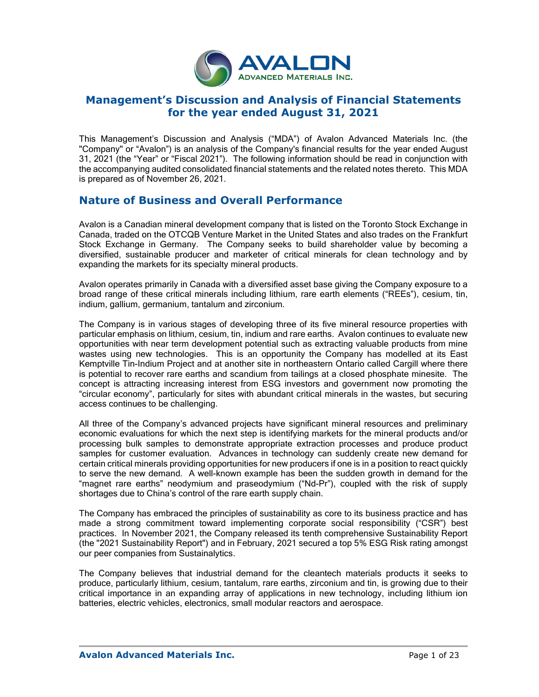

# **Management's Discussion and Analysis of Financial Statements for the year ended August 31, 2021**

This Management's Discussion and Analysis ("MDA") of Avalon Advanced Materials Inc. (the "Company" or "Avalon") is an analysis of the Company's financial results for the year ended August 31, 2021 (the "Year" or "Fiscal 2021"). The following information should be read in conjunction with the accompanying audited consolidated financial statements and the related notes thereto. This MDA is prepared as of November 26, 2021.

# **Nature of Business and Overall Performance**

Avalon is a Canadian mineral development company that is listed on the Toronto Stock Exchange in Canada, traded on the OTCQB Venture Market in the United States and also trades on the Frankfurt Stock Exchange in Germany. The Company seeks to build shareholder value by becoming a diversified, sustainable producer and marketer of critical minerals for clean technology and by expanding the markets for its specialty mineral products.

Avalon operates primarily in Canada with a diversified asset base giving the Company exposure to a broad range of these critical minerals including lithium, rare earth elements ("REEs"), cesium, tin, indium, gallium, germanium, tantalum and zirconium.

The Company is in various stages of developing three of its five mineral resource properties with particular emphasis on lithium, cesium, tin, indium and rare earths. Avalon continues to evaluate new opportunities with near term development potential such as extracting valuable products from mine wastes using new technologies. This is an opportunity the Company has modelled at its East Kemptville Tin-Indium Project and at another site in northeastern Ontario called Cargill where there is potential to recover rare earths and scandium from tailings at a closed phosphate minesite. The concept is attracting increasing interest from ESG investors and government now promoting the "circular economy", particularly for sites with abundant critical minerals in the wastes, but securing access continues to be challenging.

All three of the Company's advanced projects have significant mineral resources and preliminary economic evaluations for which the next step is identifying markets for the mineral products and/or processing bulk samples to demonstrate appropriate extraction processes and produce product samples for customer evaluation. Advances in technology can suddenly create new demand for certain critical minerals providing opportunities for new producers if one is in a position to react quickly to serve the new demand. A well-known example has been the sudden growth in demand for the "magnet rare earths" neodymium and praseodymium ("Nd-Pr"), coupled with the risk of supply shortages due to China's control of the rare earth supply chain.

The Company has embraced the principles of sustainability as core to its business practice and has made a strong commitment toward implementing corporate social responsibility ("CSR") best practices. In November 2021, the Company released its tenth comprehensive Sustainability Report (the "2021 Sustainability Report") and in February, 2021 secured a top 5% ESG Risk rating amongst our peer companies from Sustainalytics.

The Company believes that industrial demand for the cleantech materials products it seeks to produce, particularly lithium, cesium, tantalum, rare earths, zirconium and tin, is growing due to their critical importance in an expanding array of applications in new technology, including lithium ion batteries, electric vehicles, electronics, small modular reactors and aerospace.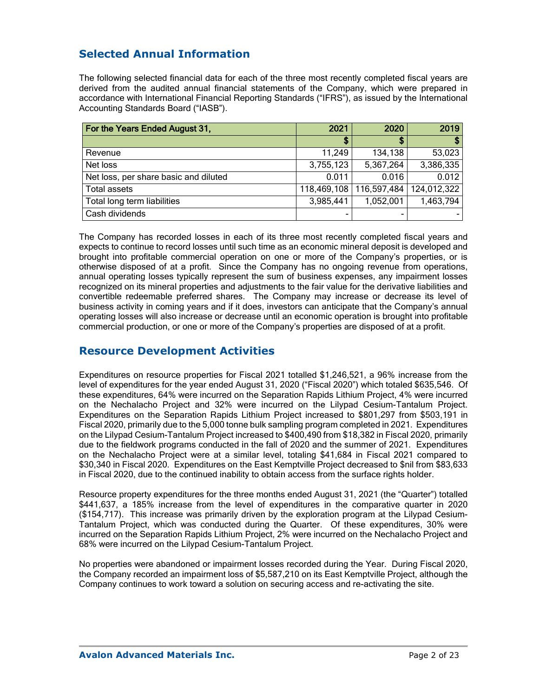# **Selected Annual Information**

The following selected financial data for each of the three most recently completed fiscal years are derived from the audited annual financial statements of the Company, which were prepared in accordance with International Financial Reporting Standards ("IFRS"), as issued by the International Accounting Standards Board ("IASB").

| For the Years Ended August 31,        | 2021        | 2020        | 2019          |
|---------------------------------------|-------------|-------------|---------------|
|                                       |             |             |               |
| Revenue                               | 11,249      | 134,138     | 53,023        |
| Net loss                              | 3,755,123   | 5,367,264   | 3,386,335     |
| Net loss, per share basic and diluted | 0.011       | 0.016       | 0.012         |
| <b>Total assets</b>                   | 118,469,108 | 116,597,484 | 124, 012, 322 |
| Total long term liabilities           | 3,985,441   | 1,052,001   | 1,463,794     |
| Cash dividends                        |             |             |               |

The Company has recorded losses in each of its three most recently completed fiscal years and expects to continue to record losses until such time as an economic mineral deposit is developed and brought into profitable commercial operation on one or more of the Company's properties, or is otherwise disposed of at a profit. Since the Company has no ongoing revenue from operations, annual operating losses typically represent the sum of business expenses, any impairment losses recognized on its mineral properties and adjustments to the fair value for the derivative liabilities and convertible redeemable preferred shares. The Company may increase or decrease its level of business activity in coming years and if it does, investors can anticipate that the Company's annual operating losses will also increase or decrease until an economic operation is brought into profitable commercial production, or one or more of the Company's properties are disposed of at a profit.

## **Resource Development Activities**

Expenditures on resource properties for Fiscal 2021 totalled \$1,246,521, a 96% increase from the level of expenditures for the year ended August 31, 2020 ("Fiscal 2020") which totaled \$635,546. Of these expenditures, 64% were incurred on the Separation Rapids Lithium Project, 4% were incurred on the Nechalacho Project and 32% were incurred on the Lilypad Cesium-Tantalum Project. Expenditures on the Separation Rapids Lithium Project increased to \$801,297 from \$503,191 in Fiscal 2020, primarily due to the 5,000 tonne bulk sampling program completed in 2021. Expenditures on the Lilypad Cesium-Tantalum Project increased to \$400,490 from \$18,382 in Fiscal 2020, primarily due to the fieldwork programs conducted in the fall of 2020 and the summer of 2021. Expenditures on the Nechalacho Project were at a similar level, totaling \$41,684 in Fiscal 2021 compared to \$30,340 in Fiscal 2020. Expenditures on the East Kemptville Project decreased to \$nil from \$83,633 in Fiscal 2020, due to the continued inability to obtain access from the surface rights holder.

Resource property expenditures for the three months ended August 31, 2021 (the "Quarter") totalled \$441,637, a 185% increase from the level of expenditures in the comparative quarter in 2020 (\$154,717). This increase was primarily driven by the exploration program at the Lilypad Cesium-Tantalum Project, which was conducted during the Quarter. Of these expenditures, 30% were incurred on the Separation Rapids Lithium Project, 2% were incurred on the Nechalacho Project and 68% were incurred on the Lilypad Cesium-Tantalum Project.

No properties were abandoned or impairment losses recorded during the Year. During Fiscal 2020, the Company recorded an impairment loss of \$5,587,210 on its East Kemptville Project, although the Company continues to work toward a solution on securing access and re-activating the site.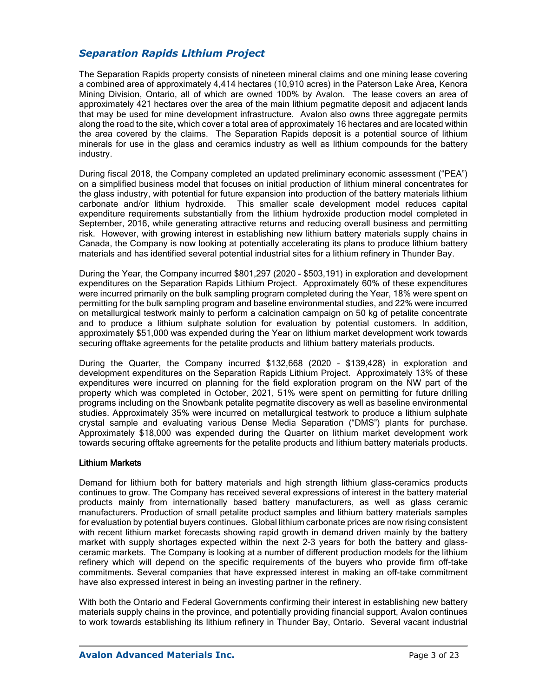### *Separation Rapids Lithium Project*

The Separation Rapids property consists of nineteen mineral claims and one mining lease covering a combined area of approximately 4,414 hectares (10,910 acres) in the Paterson Lake Area, Kenora Mining Division, Ontario, all of which are owned 100% by Avalon. The lease covers an area of approximately 421 hectares over the area of the main lithium pegmatite deposit and adjacent lands that may be used for mine development infrastructure. Avalon also owns three aggregate permits along the road to the site, which cover a total area of approximately 16 hectares and are located within the area covered by the claims. The Separation Rapids deposit is a potential source of lithium minerals for use in the glass and ceramics industry as well as lithium compounds for the battery industry.

During fiscal 2018, the Company completed an updated preliminary economic assessment ("PEA") on a simplified business model that focuses on initial production of lithium mineral concentrates for the glass industry, with potential for future expansion into production of the battery materials lithium carbonate and/or lithium hydroxide. This smaller scale development model reduces capital expenditure requirements substantially from the lithium hydroxide production model completed in September, 2016, while generating attractive returns and reducing overall business and permitting risk. However, with growing interest in establishing new lithium battery materials supply chains in Canada, the Company is now looking at potentially accelerating its plans to produce lithium battery materials and has identified several potential industrial sites for a lithium refinery in Thunder Bay.

During the Year, the Company incurred \$801,297 (2020 - \$503,191) in exploration and development expenditures on the Separation Rapids Lithium Project. Approximately 60% of these expenditures were incurred primarily on the bulk sampling program completed during the Year, 18% were spent on permitting for the bulk sampling program and baseline environmental studies, and 22% were incurred on metallurgical testwork mainly to perform a calcination campaign on 50 kg of petalite concentrate and to produce a lithium sulphate solution for evaluation by potential customers. In addition, approximately \$51,000 was expended during the Year on lithium market development work towards securing offtake agreements for the petalite products and lithium battery materials products.

During the Quarter, the Company incurred \$132,668 (2020 - \$139,428) in exploration and development expenditures on the Separation Rapids Lithium Project. Approximately 13% of these expenditures were incurred on planning for the field exploration program on the NW part of the property which was completed in October, 2021, 51% were spent on permitting for future drilling programs including on the Snowbank petalite pegmatite discovery as well as baseline environmental studies. Approximately 35% were incurred on metallurgical testwork to produce a lithium sulphate crystal sample and evaluating various Dense Media Separation ("DMS") plants for purchase. Approximately \$18,000 was expended during the Quarter on lithium market development work towards securing offtake agreements for the petalite products and lithium battery materials products.

#### Lithium Markets

Demand for lithium both for battery materials and high strength lithium glass-ceramics products continues to grow. The Company has received several expressions of interest in the battery material products mainly from internationally based battery manufacturers, as well as glass ceramic manufacturers. Production of small petalite product samples and lithium battery materials samples for evaluation by potential buyers continues. Global lithium carbonate prices are now rising consistent with recent lithium market forecasts showing rapid growth in demand driven mainly by the battery market with supply shortages expected within the next 2-3 years for both the battery and glassceramic markets. The Company is looking at a number of different production models for the lithium refinery which will depend on the specific requirements of the buyers who provide firm off-take commitments. Several companies that have expressed interest in making an off-take commitment have also expressed interest in being an investing partner in the refinery.

With both the Ontario and Federal Governments confirming their interest in establishing new battery materials supply chains in the province, and potentially providing financial support, Avalon continues to work towards establishing its lithium refinery in Thunder Bay, Ontario. Several vacant industrial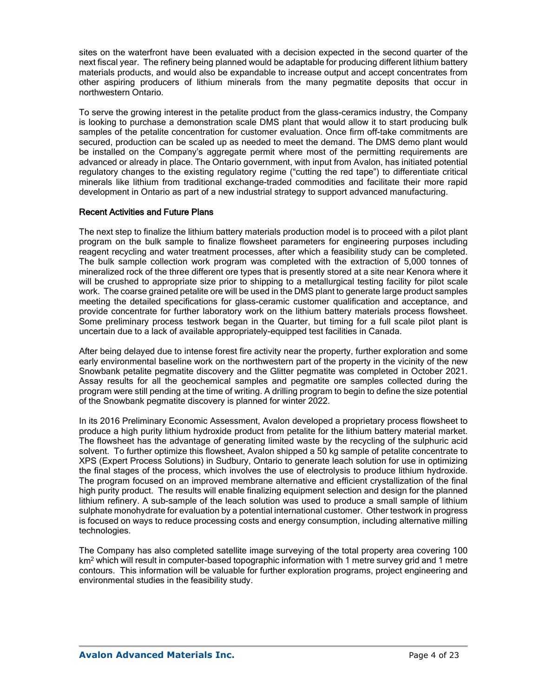sites on the waterfront have been evaluated with a decision expected in the second quarter of the next fiscal year. The refinery being planned would be adaptable for producing different lithium battery materials products, and would also be expandable to increase output and accept concentrates from other aspiring producers of lithium minerals from the many pegmatite deposits that occur in northwestern Ontario.

To serve the growing interest in the petalite product from the glass-ceramics industry, the Company is looking to purchase a demonstration scale DMS plant that would allow it to start producing bulk samples of the petalite concentration for customer evaluation. Once firm off-take commitments are secured, production can be scaled up as needed to meet the demand. The DMS demo plant would be installed on the Company's aggregate permit where most of the permitting requirements are advanced or already in place. The Ontario government, with input from Avalon, has initiated potential regulatory changes to the existing regulatory regime ("cutting the red tape") to differentiate critical minerals like lithium from traditional exchange-traded commodities and facilitate their more rapid development in Ontario as part of a new industrial strategy to support advanced manufacturing.

#### Recent Activities and Future Plans

The next step to finalize the lithium battery materials production model is to proceed with a pilot plant program on the bulk sample to finalize flowsheet parameters for engineering purposes including reagent recycling and water treatment processes, after which a feasibility study can be completed. The bulk sample collection work program was completed with the extraction of 5,000 tonnes of mineralized rock of the three different ore types that is presently stored at a site near Kenora where it will be crushed to appropriate size prior to shipping to a metallurgical testing facility for pilot scale work. The coarse grained petalite ore will be used in the DMS plant to generate large product samples meeting the detailed specifications for glass-ceramic customer qualification and acceptance, and provide concentrate for further laboratory work on the lithium battery materials process flowsheet. Some preliminary process testwork began in the Quarter, but timing for a full scale pilot plant is uncertain due to a lack of available appropriately-equipped test facilities in Canada.

After being delayed due to intense forest fire activity near the property, further exploration and some early environmental baseline work on the northwestern part of the property in the vicinity of the new Snowbank petalite pegmatite discovery and the Glitter pegmatite was completed in October 2021. Assay results for all the geochemical samples and pegmatite ore samples collected during the program were still pending at the time of writing. A drilling program to begin to define the size potential of the Snowbank pegmatite discovery is planned for winter 2022.

In its 2016 Preliminary Economic Assessment, Avalon developed a proprietary process flowsheet to produce a high purity lithium hydroxide product from petalite for the lithium battery material market. The flowsheet has the advantage of generating limited waste by the recycling of the sulphuric acid solvent. To further optimize this flowsheet, Avalon shipped a 50 kg sample of petalite concentrate to XPS (Expert Process Solutions) in Sudbury, Ontario to generate leach solution for use in optimizing the final stages of the process, which involves the use of electrolysis to produce lithium hydroxide. The program focused on an improved membrane alternative and efficient crystallization of the final high purity product. The results will enable finalizing equipment selection and design for the planned lithium refinery. A sub-sample of the leach solution was used to produce a small sample of lithium sulphate monohydrate for evaluation by a potential international customer. Other testwork in progress is focused on ways to reduce processing costs and energy consumption, including alternative milling technologies.

The Company has also completed satellite image surveying of the total property area covering 100 km<sup>2</sup> which will result in computer-based topographic information with 1 metre survey grid and 1 metre contours. This information will be valuable for further exploration programs, project engineering and environmental studies in the feasibility study.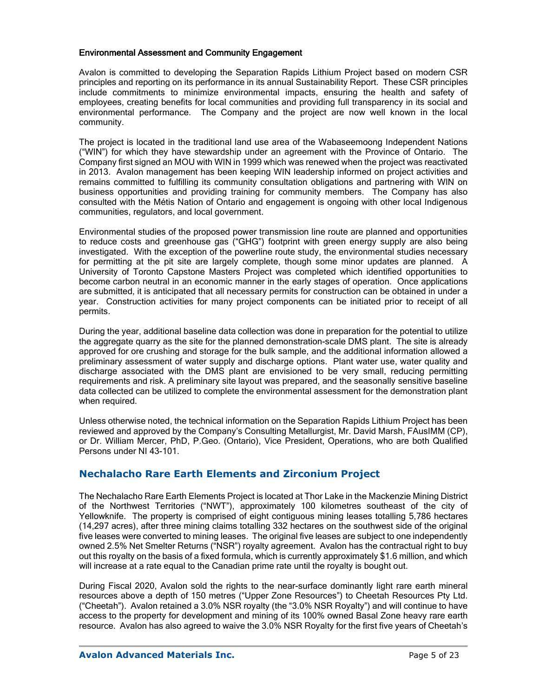#### Environmental Assessment and Community Engagement

Avalon is committed to developing the Separation Rapids Lithium Project based on modern CSR principles and reporting on its performance in its annual Sustainability Report. These CSR principles include commitments to minimize environmental impacts, ensuring the health and safety of employees, creating benefits for local communities and providing full transparency in its social and environmental performance. The Company and the project are now well known in the local community.

The project is located in the traditional land use area of the Wabaseemoong Independent Nations ("WIN") for which they have stewardship under an agreement with the Province of Ontario. The Company first signed an MOU with WIN in 1999 which was renewed when the project was reactivated in 2013. Avalon management has been keeping WIN leadership informed on project activities and remains committed to fulfilling its community consultation obligations and partnering with WIN on business opportunities and providing training for community members. The Company has also consulted with the Métis Nation of Ontario and engagement is ongoing with other local Indigenous communities, regulators, and local government.

Environmental studies of the proposed power transmission line route are planned and opportunities to reduce costs and greenhouse gas ("GHG") footprint with green energy supply are also being investigated. With the exception of the powerline route study, the environmental studies necessary for permitting at the pit site are largely complete, though some minor updates are planned. A University of Toronto Capstone Masters Project was completed which identified opportunities to become carbon neutral in an economic manner in the early stages of operation. Once applications are submitted, it is anticipated that all necessary permits for construction can be obtained in under a year. Construction activities for many project components can be initiated prior to receipt of all permits.

During the year, additional baseline data collection was done in preparation for the potential to utilize the aggregate quarry as the site for the planned demonstration-scale DMS plant. The site is already approved for ore crushing and storage for the bulk sample, and the additional information allowed a preliminary assessment of water supply and discharge options. Plant water use, water quality and discharge associated with the DMS plant are envisioned to be very small, reducing permitting requirements and risk. A preliminary site layout was prepared, and the seasonally sensitive baseline data collected can be utilized to complete the environmental assessment for the demonstration plant when required.

Unless otherwise noted, the technical information on the Separation Rapids Lithium Project has been reviewed and approved by the Company's Consulting Metallurgist, Mr. David Marsh, FAusIMM (CP), or Dr. William Mercer, PhD, P.Geo. (Ontario), Vice President, Operations, who are both Qualified Persons under NI 43-101.

### **Nechalacho Rare Earth Elements and Zirconium Project**

The Nechalacho Rare Earth Elements Project is located at Thor Lake in the Mackenzie Mining District of the Northwest Territories ("NWT"), approximately 100 kilometres southeast of the city of Yellowknife. The property is comprised of eight contiguous mining leases totalling 5,786 hectares (14,297 acres), after three mining claims totalling 332 hectares on the southwest side of the original five leases were converted to mining leases. The original five leases are subject to one independently owned 2.5% Net Smelter Returns ("NSR") royalty agreement. Avalon has the contractual right to buy out this royalty on the basis of a fixed formula, which is currently approximately \$1.6 million, and which will increase at a rate equal to the Canadian prime rate until the royalty is bought out.

During Fiscal 2020, Avalon sold the rights to the near-surface dominantly light rare earth mineral resources above a depth of 150 metres ("Upper Zone Resources") to Cheetah Resources Pty Ltd. ("Cheetah"). Avalon retained a 3.0% NSR royalty (the "3.0% NSR Royalty") and will continue to have access to the property for development and mining of its 100% owned Basal Zone heavy rare earth resource. Avalon has also agreed to waive the 3.0% NSR Royalty for the first five years of Cheetah's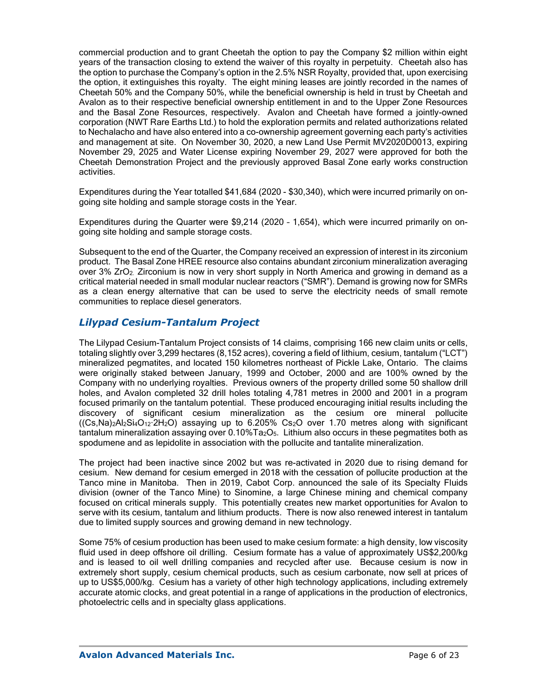commercial production and to grant Cheetah the option to pay the Company \$2 million within eight years of the transaction closing to extend the waiver of this royalty in perpetuity. Cheetah also has the option to purchase the Company's option in the 2.5% NSR Royalty, provided that, upon exercising the option, it extinguishes this royalty. The eight mining leases are jointly recorded in the names of Cheetah 50% and the Company 50%, while the beneficial ownership is held in trust by Cheetah and Avalon as to their respective beneficial ownership entitlement in and to the Upper Zone Resources and the Basal Zone Resources, respectively. Avalon and Cheetah have formed a jointly-owned corporation (NWT Rare Earths Ltd.) to hold the exploration permits and related authorizations related to Nechalacho and have also entered into a co-ownership agreement governing each party's activities and management at site. On November 30, 2020, a new Land Use Permit MV2020D0013, expiring November 29, 2025 and Water License expiring November 29, 2027 were approved for both the Cheetah Demonstration Project and the previously approved Basal Zone early works construction activities.

Expenditures during the Year totalled \$41,684 (2020 - \$30,340), which were incurred primarily on ongoing site holding and sample storage costs in the Year.

Expenditures during the Quarter were \$9,214 (2020 – 1,654), which were incurred primarily on ongoing site holding and sample storage costs.

Subsequent to the end of the Quarter, the Company received an expression of interest in its zirconium product. The Basal Zone HREE resource also contains abundant zirconium mineralization averaging over 3% ZrO2. Zirconium is now in very short supply in North America and growing in demand as a critical material needed in small modular nuclear reactors ("SMR"). Demand is growing now for SMRs as a clean energy alternative that can be used to serve the electricity needs of small remote communities to replace diesel generators.

### *Lilypad Cesium-Tantalum Project*

The Lilypad Cesium-Tantalum Project consists of 14 claims, comprising 166 new claim units or cells, totaling slightly over 3,299 hectares (8,152 acres), covering a field of lithium, cesium, tantalum ("LCT") mineralized pegmatites, and located 150 kilometres northeast of Pickle Lake, Ontario. The claims were originally staked between January, 1999 and October, 2000 and are 100% owned by the Company with no underlying royalties. Previous owners of the property drilled some 50 shallow drill holes, and Avalon completed 32 drill holes totaling 4,781 metres in 2000 and 2001 in a program focused primarily on the tantalum potential. These produced encouraging initial results including the discovery of significant cesium mineralization as the cesium ore mineral pollucite  $((Cs,Na)_{2}Al_{2}Si_{4}O_{12}·2H_{2}O)$  assaying up to 6.205% Cs<sub>2</sub>O over 1.70 metres along with significant tantalum mineralization assaying over 0.10%Ta2O5. Lithium also occurs in these pegmatites both as spodumene and as lepidolite in association with the pollucite and tantalite mineralization.

The project had been inactive since 2002 but was re-activated in 2020 due to rising demand for cesium. New demand for cesium emerged in 2018 with the cessation of pollucite production at the Tanco mine in Manitoba. Then in 2019, Cabot Corp. announced the sale of its Specialty Fluids division (owner of the Tanco Mine) to Sinomine, a large Chinese mining and chemical company focused on critical minerals supply. This potentially creates new market opportunities for Avalon to serve with its cesium, tantalum and lithium products. There is now also renewed interest in tantalum due to limited supply sources and growing demand in new technology.

Some 75% of cesium production has been used to make cesium formate: a high density, low viscosity fluid used in deep offshore oil drilling. Cesium formate has a value of approximately US\$2,200/kg and is leased to oil well drilling companies and recycled after use. Because cesium is now in extremely short supply, cesium chemical products, such as cesium carbonate, now sell at prices of up to US\$5,000/kg. Cesium has a variety of other high technology applications, including extremely accurate atomic clocks, and great potential in a range of applications in the production of electronics, photoelectric cells and in specialty glass applications.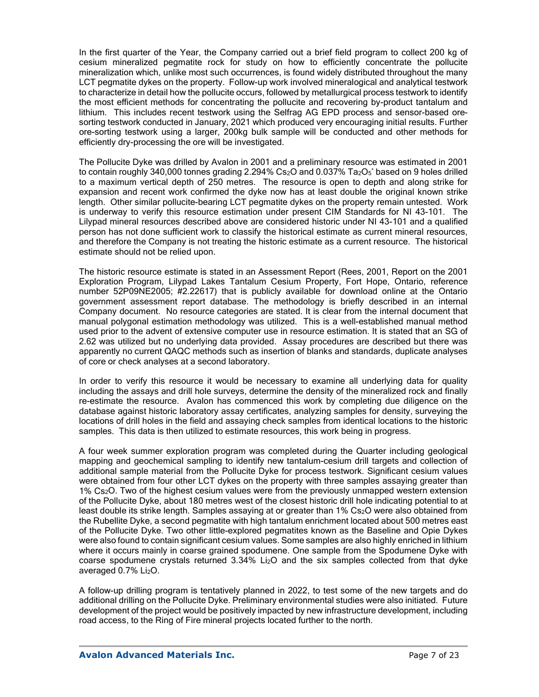In the first quarter of the Year, the Company carried out a brief field program to collect 200 kg of cesium mineralized pegmatite rock for study on how to efficiently concentrate the pollucite mineralization which, unlike most such occurrences, is found widely distributed throughout the many LCT pegmatite dykes on the property. Follow-up work involved mineralogical and analytical testwork to characterize in detail how the pollucite occurs, followed by metallurgical process testwork to identify the most efficient methods for concentrating the pollucite and recovering by-product tantalum and lithium. This includes recent testwork using the Selfrag AG EPD process and sensor-based oresorting testwork conducted in January, 2021 which produced very encouraging initial results. Further ore-sorting testwork using a larger, 200kg bulk sample will be conducted and other methods for efficiently dry-processing the ore will be investigated.

The Pollucite Dyke was drilled by Avalon in 2001 and a preliminary resource was estimated in 2001 to contain roughly 340,000 tonnes grading 2.294% Cs<sub>2</sub>O and 0.037% Ta<sub>2</sub>O<sub>5</sub>\* based on 9 holes drilled to a maximum vertical depth of 250 metres. The resource is open to depth and along strike for expansion and recent work confirmed the dyke now has at least double the original known strike length. Other similar pollucite-bearing LCT pegmatite dykes on the property remain untested. Work is underway to verify this resource estimation under present CIM Standards for NI 43-101. The Lilypad mineral resources described above are considered historic under NI 43-101 and a qualified person has not done sufficient work to classify the historical estimate as current mineral resources, and therefore the Company is not treating the historic estimate as a current resource. The historical estimate should not be relied upon.

The historic resource estimate is stated in an Assessment Report (Rees, 2001, Report on the 2001 Exploration Program, Lilypad Lakes Tantalum Cesium Property, Fort Hope, Ontario, reference number 52P09NE2005; #2.22617) that is publicly available for download online at the Ontario government assessment report database. The methodology is briefly described in an internal Company document. No resource categories are stated. It is clear from the internal document that manual polygonal estimation methodology was utilized. This is a well-established manual method used prior to the advent of extensive computer use in resource estimation. It is stated that an SG of 2.62 was utilized but no underlying data provided. Assay procedures are described but there was apparently no current QAQC methods such as insertion of blanks and standards, duplicate analyses of core or check analyses at a second laboratory.

In order to verify this resource it would be necessary to examine all underlying data for quality including the assays and drill hole surveys, determine the density of the mineralized rock and finally re-estimate the resource. Avalon has commenced this work by completing due diligence on the database against historic laboratory assay certificates, analyzing samples for density, surveying the locations of drill holes in the field and assaying check samples from identical locations to the historic samples. This data is then utilized to estimate resources, this work being in progress.

A four week summer exploration program was completed during the Quarter including geological mapping and geochemical sampling to identify new tantalum-cesium drill targets and collection of additional sample material from the Pollucite Dyke for process testwork. Significant cesium values were obtained from four other LCT dykes on the property with three samples assaying greater than 1% Cs2O. Two of the highest cesium values were from the previously unmapped western extension of the Pollucite Dyke, about 180 metres west of the closest historic drill hole indicating potential to at least double its strike length. Samples assaying at or greater than 1% Cs<sub>2</sub>O were also obtained from the Rubellite Dyke, a second pegmatite with high tantalum enrichment located about 500 metres east of the Pollucite Dyke. Two other little-explored pegmatites known as the Baseline and Opie Dykes were also found to contain significant cesium values. Some samples are also highly enriched in lithium where it occurs mainly in coarse grained spodumene. One sample from the Spodumene Dyke with coarse spodumene crystals returned 3.34% Li2O and the six samples collected from that dyke averaged 0.7% Li<sub>2</sub>O.

A follow-up drilling program is tentatively planned in 2022, to test some of the new targets and do additional drilling on the Pollucite Dyke. Preliminary environmental studies were also initiated. Future development of the project would be positively impacted by new infrastructure development, including road access, to the Ring of Fire mineral projects located further to the north.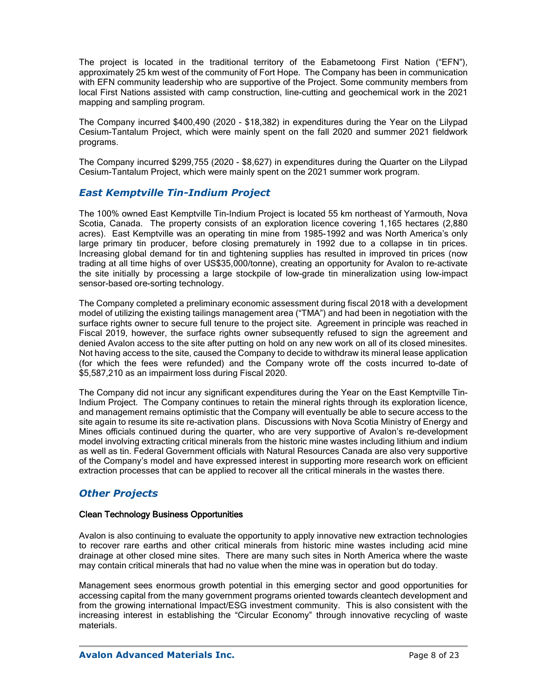The project is located in the traditional territory of the Eabametoong First Nation ("EFN"), approximately 25 km west of the community of Fort Hope. The Company has been in communication with EFN community leadership who are supportive of the Project. Some community members from local First Nations assisted with camp construction, line-cutting and geochemical work in the 2021 mapping and sampling program.

The Company incurred \$400,490 (2020 - \$18,382) in expenditures during the Year on the Lilypad Cesium-Tantalum Project, which were mainly spent on the fall 2020 and summer 2021 fieldwork programs.

The Company incurred \$299,755 (2020 - \$8,627) in expenditures during the Quarter on the Lilypad Cesium-Tantalum Project, which were mainly spent on the 2021 summer work program.

### *East Kemptville Tin-Indium Project*

The 100% owned East Kemptville Tin-Indium Project is located 55 km northeast of Yarmouth, Nova Scotia, Canada. The property consists of an exploration licence covering 1,165 hectares (2,880 acres). East Kemptville was an operating tin mine from 1985-1992 and was North America's only large primary tin producer, before closing prematurely in 1992 due to a collapse in tin prices. Increasing global demand for tin and tightening supplies has resulted in improved tin prices (now trading at all time highs of over US\$35,000/tonne), creating an opportunity for Avalon to re-activate the site initially by processing a large stockpile of low-grade tin mineralization using low-impact sensor-based ore-sorting technology.

The Company completed a preliminary economic assessment during fiscal 2018 with a development model of utilizing the existing tailings management area ("TMA") and had been in negotiation with the surface rights owner to secure full tenure to the project site. Agreement in principle was reached in Fiscal 2019, however, the surface rights owner subsequently refused to sign the agreement and denied Avalon access to the site after putting on hold on any new work on all of its closed minesites. Not having access to the site, caused the Company to decide to withdraw its mineral lease application (for which the fees were refunded) and the Company wrote off the costs incurred to-date of \$5,587,210 as an impairment loss during Fiscal 2020.

The Company did not incur any significant expenditures during the Year on the East Kemptville Tin-Indium Project. The Company continues to retain the mineral rights through its exploration licence, and management remains optimistic that the Company will eventually be able to secure access to the site again to resume its site re-activation plans. Discussions with Nova Scotia Ministry of Energy and Mines officials continued during the quarter, who are very supportive of Avalon's re-development model involving extracting critical minerals from the historic mine wastes including lithium and indium as well as tin. Federal Government officials with Natural Resources Canada are also very supportive of the Company's model and have expressed interest in supporting more research work on efficient extraction processes that can be applied to recover all the critical minerals in the wastes there.

### *Other Projects*

#### Clean Technology Business Opportunities

Avalon is also continuing to evaluate the opportunity to apply innovative new extraction technologies to recover rare earths and other critical minerals from historic mine wastes including acid mine drainage at other closed mine sites. There are many such sites in North America where the waste may contain critical minerals that had no value when the mine was in operation but do today.

Management sees enormous growth potential in this emerging sector and good opportunities for accessing capital from the many government programs oriented towards cleantech development and from the growing international Impact/ESG investment community. This is also consistent with the increasing interest in establishing the "Circular Economy" through innovative recycling of waste materials.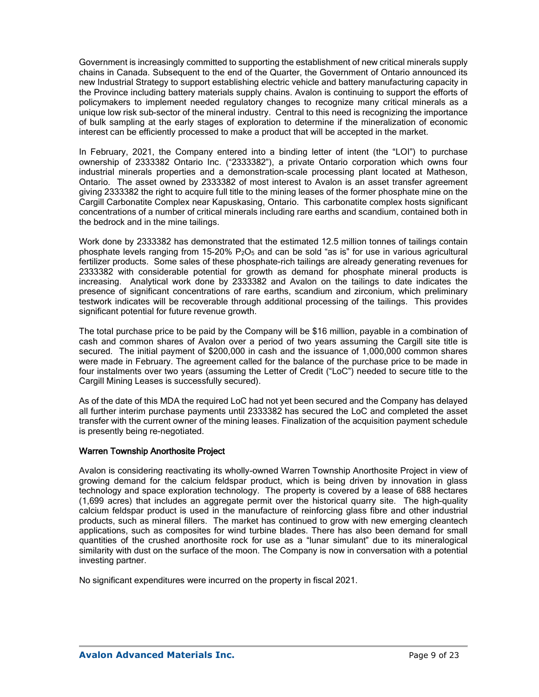Government is increasingly committed to supporting the establishment of new critical minerals supply chains in Canada. Subsequent to the end of the Quarter, the Government of Ontario announced its new Industrial Strategy to support establishing electric vehicle and battery manufacturing capacity in the Province including battery materials supply chains. Avalon is continuing to support the efforts of policymakers to implement needed regulatory changes to recognize many critical minerals as a unique low risk sub-sector of the mineral industry. Central to this need is recognizing the importance of bulk sampling at the early stages of exploration to determine if the mineralization of economic interest can be efficiently processed to make a product that will be accepted in the market.

In February, 2021, the Company entered into a binding letter of intent (the "LOI") to purchase ownership of 2333382 Ontario Inc. ("2333382"), a private Ontario corporation which owns four industrial minerals properties and a demonstration-scale processing plant located at Matheson, Ontario. The asset owned by 2333382 of most interest to Avalon is an asset transfer agreement giving 2333382 the right to acquire full title to the mining leases of the former phosphate mine on the Cargill Carbonatite Complex near Kapuskasing, Ontario. This carbonatite complex hosts significant concentrations of a number of critical minerals including rare earths and scandium, contained both in the bedrock and in the mine tailings.

Work done by 2333382 has demonstrated that the estimated 12.5 million tonnes of tailings contain phosphate levels ranging from 15-20% P<sub>2</sub>O<sub>5</sub> and can be sold "as is" for use in various agricultural fertilizer products. Some sales of these phosphate-rich tailings are already generating revenues for 2333382 with considerable potential for growth as demand for phosphate mineral products is increasing. Analytical work done by 2333382 and Avalon on the tailings to date indicates the presence of significant concentrations of rare earths, scandium and zirconium, which preliminary testwork indicates will be recoverable through additional processing of the tailings. This provides significant potential for future revenue growth.

The total purchase price to be paid by the Company will be \$16 million, payable in a combination of cash and common shares of Avalon over a period of two years assuming the Cargill site title is secured. The initial payment of \$200,000 in cash and the issuance of 1,000,000 common shares were made in February. The agreement called for the balance of the purchase price to be made in four instalments over two years (assuming the Letter of Credit ("LoC") needed to secure title to the Cargill Mining Leases is successfully secured).

As of the date of this MDA the required LoC had not yet been secured and the Company has delayed all further interim purchase payments until 2333382 has secured the LoC and completed the asset transfer with the current owner of the mining leases. Finalization of the acquisition payment schedule is presently being re-negotiated.

### Warren Township Anorthosite Project

Avalon is considering reactivating its wholly-owned Warren Township Anorthosite Project in view of growing demand for the calcium feldspar product, which is being driven by innovation in glass technology and space exploration technology. The property is covered by a lease of 688 hectares (1,699 acres) that includes an aggregate permit over the historical quarry site. The high-quality calcium feldspar product is used in the manufacture of reinforcing glass fibre and other industrial products, such as mineral fillers. The market has continued to grow with new emerging cleantech applications, such as composites for wind turbine blades. There has also been demand for small quantities of the crushed anorthosite rock for use as a "lunar simulant" due to its mineralogical similarity with dust on the surface of the moon. The Company is now in conversation with a potential investing partner.

No significant expenditures were incurred on the property in fiscal 2021.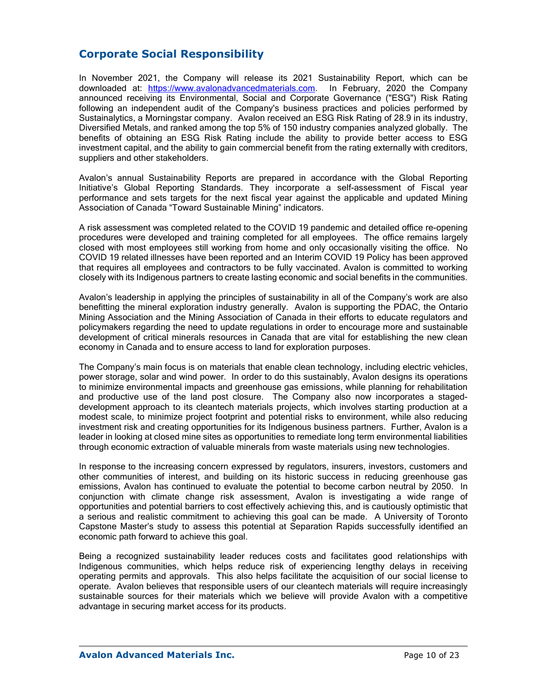# **Corporate Social Responsibility**

In November 2021, the Company will release its 2021 Sustainability Report, which can be downloaded at: [https://www.avalonadvancedmaterials.com.](https://www.avalonadvancedmaterials.com/) In February, 2020 the Company announced receiving its Environmental, Social and Corporate Governance ("ESG") Risk Rating following an independent audit of the Company's business practices and policies performed by Sustainalytics, a Morningstar company. Avalon received an ESG Risk Rating of 28.9 in its industry, Diversified Metals, and ranked among the top 5% of 150 industry companies analyzed globally. The benefits of obtaining an ESG Risk Rating include the ability to provide better access to ESG investment capital, and the ability to gain commercial benefit from the rating externally with creditors, suppliers and other stakeholders.

Avalon's annual Sustainability Reports are prepared in accordance with the Global Reporting Initiative's Global Reporting Standards. They incorporate a self-assessment of Fiscal year performance and sets targets for the next fiscal year against the applicable and updated Mining Association of Canada "Toward Sustainable Mining" indicators.

A risk assessment was completed related to the COVID 19 pandemic and detailed office re-opening procedures were developed and training completed for all employees. The office remains largely closed with most employees still working from home and only occasionally visiting the office. No COVID 19 related illnesses have been reported and an Interim COVID 19 Policy has been approved that requires all employees and contractors to be fully vaccinated. Avalon is committed to working closely with its Indigenous partners to create lasting economic and social benefits in the communities.

Avalon's leadership in applying the principles of sustainability in all of the Company's work are also benefitting the mineral exploration industry generally. Avalon is supporting the PDAC, the Ontario Mining Association and the Mining Association of Canada in their efforts to educate regulators and policymakers regarding the need to update regulations in order to encourage more and sustainable development of critical minerals resources in Canada that are vital for establishing the new clean economy in Canada and to ensure access to land for exploration purposes.

The Company's main focus is on materials that enable clean technology, including electric vehicles, power storage, solar and wind power. In order to do this sustainably, Avalon designs its operations to minimize environmental impacts and greenhouse gas emissions, while planning for rehabilitation and productive use of the land post closure. The Company also now incorporates a stageddevelopment approach to its cleantech materials projects, which involves starting production at a modest scale, to minimize project footprint and potential risks to environment, while also reducing investment risk and creating opportunities for its Indigenous business partners. Further, Avalon is a leader in looking at closed mine sites as opportunities to remediate long term environmental liabilities through economic extraction of valuable minerals from waste materials using new technologies.

In response to the increasing concern expressed by regulators, insurers, investors, customers and other communities of interest, and building on its historic success in reducing greenhouse gas emissions, Avalon has continued to evaluate the potential to become carbon neutral by 2050. In conjunction with climate change risk assessment, Avalon is investigating a wide range of opportunities and potential barriers to cost effectively achieving this, and is cautiously optimistic that a serious and realistic commitment to achieving this goal can be made. A University of Toronto Capstone Master's study to assess this potential at Separation Rapids successfully identified an economic path forward to achieve this goal.

Being a recognized sustainability leader reduces costs and facilitates good relationships with Indigenous communities, which helps reduce risk of experiencing lengthy delays in receiving operating permits and approvals. This also helps facilitate the acquisition of our social license to operate. Avalon believes that responsible users of our cleantech materials will require increasingly sustainable sources for their materials which we believe will provide Avalon with a competitive advantage in securing market access for its products.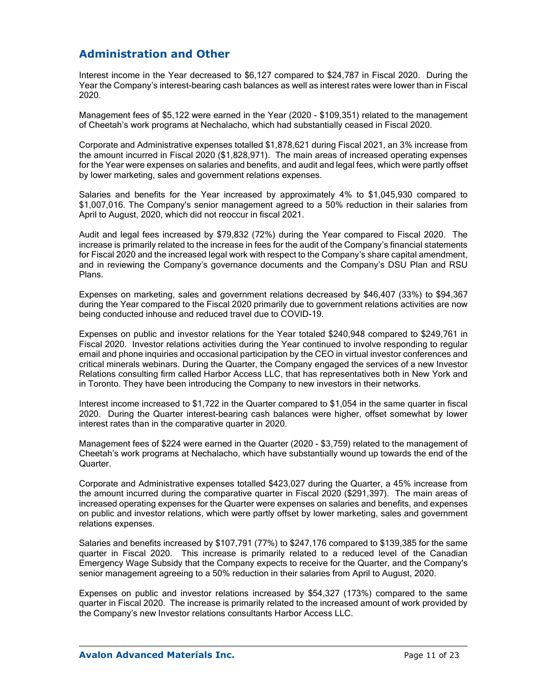# **Administration and Other**

Interest income in the Year decreased to \$6,127 compared to \$24,787 in Fiscal 2020. During the Year the Company's interest-bearing cash balances as well as interest rates were lower than in Fiscal 2020.

Management fees of \$5,122 were earned in the Year (2020 - \$109,351) related to the management of Cheetah's work programs at Nechalacho, which had substantially ceased in Fiscal 2020.

Corporate and Administrative expenses totalled \$1,878,621 during Fiscal 2021, an 3% increase from the amount incurred in Fiscal 2020 (\$1,828,971). The main areas of increased operating expenses for the Year were expenses on salaries and benefits, and audit and legal fees, which were partly offset by lower marketing, sales and government relations expenses.

Salaries and benefits for the Year increased by approximately 4% to \$1,045,930 compared to \$1,007,016. The Company's senior management agreed to a 50% reduction in their salaries from April to August, 2020, which did not reoccur in fiscal 2021.

Audit and legal fees increased by \$79,832 (72%) during the Year compared to Fiscal 2020. The increase is primarily related to the increase in fees for the audit of the Company's financial statements for Fiscal 2020 and the increased legal work with respect to the Company's share capital amendment, and in reviewing the Company's governance documents and the Company's DSU Plan and RSU Plans.

Expenses on marketing, sales and government relations decreased by \$46,407 (33%) to \$94,367 during the Year compared to the Fiscal 2020 primarily due to government relations activities are now being conducted inhouse and reduced travel due to COVID-19.

Expenses on public and investor relations for the Year totaled \$240,948 compared to \$249,761 in Fiscal 2020. Investor relations activities during the Year continued to involve responding to regular email and phone inquiries and occasional participation by the CEO in virtual investor conferences and critical minerals webinars. During the Quarter, the Company engaged the services of a new Investor Relations consulting firm called Harbor Access LLC, that has representatives both in New York and in Toronto. They have been introducing the Company to new investors in their networks.

Interest income increased to \$1,722 in the Quarter compared to \$1,054 in the same quarter in fiscal 2020. During the Quarter interest-bearing cash balances were higher, offset somewhat by lower interest rates than in the comparative quarter in 2020.

Management fees of \$224 were earned in the Quarter (2020 - \$3,759) related to the management of Cheetah's work programs at Nechalacho, which have substantially wound up towards the end of the Quarter.

Corporate and Administrative expenses totalled \$423,027 during the Quarter, a 45% increase from the amount incurred during the comparative quarter in Fiscal 2020 (\$291,397). The main areas of increased operating expenses for the Quarter were expenses on salaries and benefits, and expenses on public and investor relations, which were partly offset by lower marketing, sales and government relations expenses.

Salaries and benefits increased by \$107,791 (77%) to \$247,176 compared to \$139,385 for the same quarter in Fiscal 2020. This increase is primarily related to a reduced level of the Canadian Emergency Wage Subsidy that the Company expects to receive for the Quarter, and the Company's senior management agreeing to a 50% reduction in their salaries from April to August, 2020.

Expenses on public and investor relations increased by \$54,327 (173%) compared to the same quarter in Fiscal 2020. The increase is primarily related to the increased amount of work provided by the Company's new Investor relations consultants Harbor Access LLC.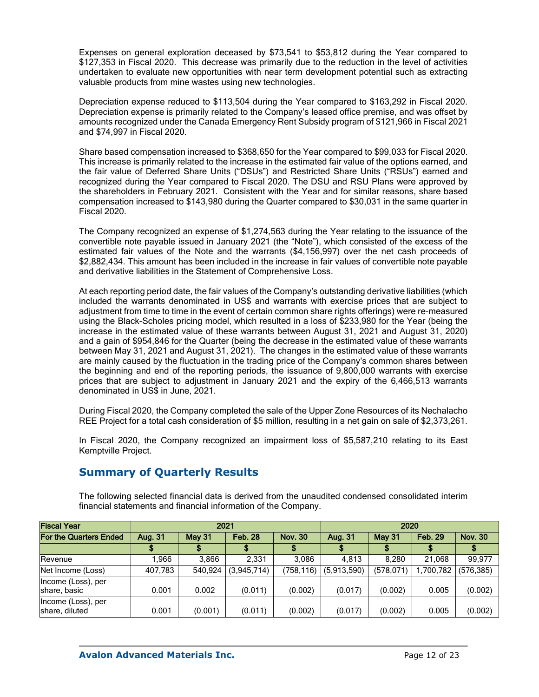Expenses on general exploration deceased by \$73,541 to \$53,812 during the Year compared to \$127,353 in Fiscal 2020. This decrease was primarily due to the reduction in the level of activities undertaken to evaluate new opportunities with near term development potential such as extracting valuable products from mine wastes using new technologies.

Depreciation expense reduced to \$113,504 during the Year compared to \$163,292 in Fiscal 2020. Depreciation expense is primarily related to the Company's leased office premise, and was offset by amounts recognized under the Canada Emergency Rent Subsidy program of \$121,966 in Fiscal 2021 and \$74,997 in Fiscal 2020.

Share based compensation increased to \$368,650 for the Year compared to \$99,033 for Fiscal 2020. This increase is primarily related to the increase in the estimated fair value of the options earned, and the fair value of Deferred Share Units ("DSUs") and Restricted Share Units ("RSUs") earned and recognized during the Year compared to Fiscal 2020. The DSU and RSU Plans were approved by the shareholders in February 2021. Consistent with the Year and for similar reasons, share based compensation increased to \$143,980 during the Quarter compared to \$30,031 in the same quarter in Fiscal 2020.

The Company recognized an expense of \$1,274,563 during the Year relating to the issuance of the convertible note payable issued in January 2021 (the "Note"), which consisted of the excess of the estimated fair values of the Note and the warrants (\$4,156,997) over the net cash proceeds of \$2,882,434. This amount has been included in the increase in fair values of convertible note payable and derivative liabilities in the Statement of Comprehensive Loss.

At each reporting period date, the fair values of the Company's outstanding derivative liabilities (which included the warrants denominated in US\$ and warrants with exercise prices that are subject to adjustment from time to time in the event of certain common share rights offerings) were re-measured using the Black-Scholes pricing model, which resulted in a loss of \$233,980 for the Year (being the increase in the estimated value of these warrants between August 31, 2021 and August 31, 2020) and a gain of \$954,846 for the Quarter (being the decrease in the estimated value of these warrants between May 31, 2021 and August 31, 2021). The changes in the estimated value of these warrants are mainly caused by the fluctuation in the trading price of the Company's common shares between the beginning and end of the reporting periods, the issuance of 9,800,000 warrants with exercise prices that are subject to adjustment in January 2021 and the expiry of the 6,466,513 warrants denominated in US\$ in June, 2021.

During Fiscal 2020, the Company completed the sale of the Upper Zone Resources of its Nechalacho REE Project for a total cash consideration of \$5 million, resulting in a net gain on sale of \$2,373,261.

In Fiscal 2020, the Company recognized an impairment loss of \$5,587,210 relating to its East Kemptville Project.

# **Summary of Quarterly Results**

The following selected financial data is derived from the unaudited condensed consolidated interim financial statements and financial information of the Company.

| <b>Fiscal Year</b>                   | 2021    |               |                | 2020           |             |            |                |                |
|--------------------------------------|---------|---------------|----------------|----------------|-------------|------------|----------------|----------------|
| <b>For the Quarters Ended</b>        | Aug. 31 | <b>May 31</b> | <b>Feb. 28</b> | <b>Nov. 30</b> | Aug. 31     | May 31     | <b>Feb. 29</b> | <b>Nov. 30</b> |
|                                      |         |               |                |                |             |            |                |                |
| Revenue                              | 966.⊺   | 3.866         | 2.331          | 3.086          | 4.813       | 8.280      | 21.068         | 99.977         |
| Net Income (Loss)                    | 407,783 | 540,924       | (3,945,714)    | (758, 116)     | (5,913,590) | (578, 071) | ,700,782       | (576, 385)     |
| Income (Loss), per<br>share, basic   | 0.001   | 0.002         | (0.011)        | (0.002)        | (0.017)     | (0.002)    | 0.005          | (0.002)        |
| Income (Loss), per<br>share, diluted | 0.001   | (0.001)       | (0.011)        | (0.002)        | (0.017)     | (0.002)    | 0.005          | (0.002)        |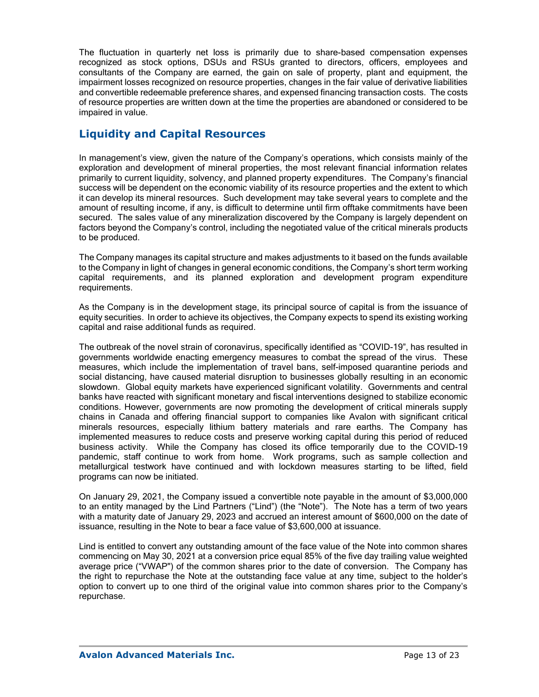The fluctuation in quarterly net loss is primarily due to share-based compensation expenses recognized as stock options, DSUs and RSUs granted to directors, officers, employees and consultants of the Company are earned, the gain on sale of property, plant and equipment, the impairment losses recognized on resource properties, changes in the fair value of derivative liabilities and convertible redeemable preference shares, and expensed financing transaction costs. The costs of resource properties are written down at the time the properties are abandoned or considered to be impaired in value.

# **Liquidity and Capital Resources**

In management's view, given the nature of the Company's operations, which consists mainly of the exploration and development of mineral properties, the most relevant financial information relates primarily to current liquidity, solvency, and planned property expenditures. The Company's financial success will be dependent on the economic viability of its resource properties and the extent to which it can develop its mineral resources. Such development may take several years to complete and the amount of resulting income, if any, is difficult to determine until firm offtake commitments have been secured. The sales value of any mineralization discovered by the Company is largely dependent on factors beyond the Company's control, including the negotiated value of the critical minerals products to be produced.

The Company manages its capital structure and makes adjustments to it based on the funds available to the Company in light of changes in general economic conditions, the Company's short term working capital requirements, and its planned exploration and development program expenditure requirements.

As the Company is in the development stage, its principal source of capital is from the issuance of equity securities. In order to achieve its objectives, the Company expects to spend its existing working capital and raise additional funds as required.

The outbreak of the novel strain of coronavirus, specifically identified as "COVID-19", has resulted in governments worldwide enacting emergency measures to combat the spread of the virus. These measures, which include the implementation of travel bans, self-imposed quarantine periods and social distancing, have caused material disruption to businesses globally resulting in an economic slowdown. Global equity markets have experienced significant volatility. Governments and central banks have reacted with significant monetary and fiscal interventions designed to stabilize economic conditions. However, governments are now promoting the development of critical minerals supply chains in Canada and offering financial support to companies like Avalon with significant critical minerals resources, especially lithium battery materials and rare earths. The Company has implemented measures to reduce costs and preserve working capital during this period of reduced business activity. While the Company has closed its office temporarily due to the COVID-19 pandemic, staff continue to work from home. Work programs, such as sample collection and metallurgical testwork have continued and with lockdown measures starting to be lifted, field programs can now be initiated.

On January 29, 2021, the Company issued a convertible note payable in the amount of \$3,000,000 to an entity managed by the Lind Partners ("Lind") (the "Note"). The Note has a term of two years with a maturity date of January 29, 2023 and accrued an interest amount of \$600,000 on the date of issuance, resulting in the Note to bear a face value of \$3,600,000 at issuance.

Lind is entitled to convert any outstanding amount of the face value of the Note into common shares commencing on May 30, 2021 at a conversion price equal 85% of the five day trailing value weighted average price ("VWAP") of the common shares prior to the date of conversion. The Company has the right to repurchase the Note at the outstanding face value at any time, subject to the holder's option to convert up to one third of the original value into common shares prior to the Company's repurchase.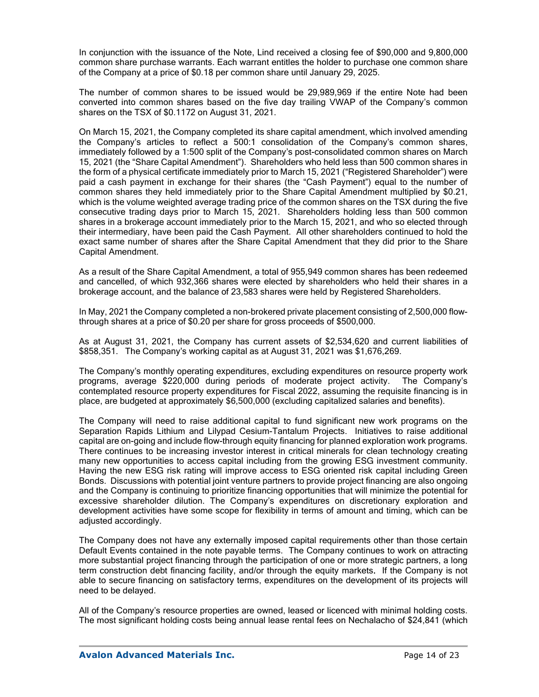In conjunction with the issuance of the Note, Lind received a closing fee of \$90,000 and 9,800,000 common share purchase warrants. Each warrant entitles the holder to purchase one common share of the Company at a price of \$0.18 per common share until January 29, 2025.

The number of common shares to be issued would be 29,989,969 if the entire Note had been converted into common shares based on the five day trailing VWAP of the Company's common shares on the TSX of \$0.1172 on August 31, 2021.

On March 15, 2021, the Company completed its share capital amendment, which involved amending the Company's articles to reflect a 500:1 consolidation of the Company's common shares, immediately followed by a 1:500 split of the Company's post-consolidated common shares on March 15, 2021 (the "Share Capital Amendment"). Shareholders who held less than 500 common shares in the form of a physical certificate immediately prior to March 15, 2021 ("Registered Shareholder") were paid a cash payment in exchange for their shares (the "Cash Payment") equal to the number of common shares they held immediately prior to the Share Capital Amendment multiplied by \$0.21, which is the volume weighted average trading price of the common shares on the TSX during the five consecutive trading days prior to March 15, 2021. Shareholders holding less than 500 common shares in a brokerage account immediately prior to the March 15, 2021, and who so elected through their intermediary, have been paid the Cash Payment. All other shareholders continued to hold the exact same number of shares after the Share Capital Amendment that they did prior to the Share Capital Amendment.

As a result of the Share Capital Amendment, a total of 955,949 common shares has been redeemed and cancelled, of which 932,366 shares were elected by shareholders who held their shares in a brokerage account, and the balance of 23,583 shares were held by Registered Shareholders.

In May, 2021 the Company completed a non-brokered private placement consisting of 2,500,000 flowthrough shares at a price of \$0.20 per share for gross proceeds of \$500,000.

As at August 31, 2021, the Company has current assets of \$2,534,620 and current liabilities of \$858,351. The Company's working capital as at August 31, 2021 was \$1,676,269.

The Company's monthly operating expenditures, excluding expenditures on resource property work programs, average \$220,000 during periods of moderate project activity. The Company's contemplated resource property expenditures for Fiscal 2022, assuming the requisite financing is in place, are budgeted at approximately \$6,500,000 (excluding capitalized salaries and benefits).

The Company will need to raise additional capital to fund significant new work programs on the Separation Rapids Lithium and Lilypad Cesium-Tantalum Projects. Initiatives to raise additional capital are on-going and include flow-through equity financing for planned exploration work programs. There continues to be increasing investor interest in critical minerals for clean technology creating many new opportunities to access capital including from the growing ESG investment community. Having the new ESG risk rating will improve access to ESG oriented risk capital including Green Bonds. Discussions with potential joint venture partners to provide project financing are also ongoing and the Company is continuing to prioritize financing opportunities that will minimize the potential for excessive shareholder dilution. The Company's expenditures on discretionary exploration and development activities have some scope for flexibility in terms of amount and timing, which can be adjusted accordingly.

The Company does not have any externally imposed capital requirements other than those certain Default Events contained in the note payable terms. The Company continues to work on attracting more substantial project financing through the participation of one or more strategic partners, a long term construction debt financing facility, and/or through the equity markets. If the Company is not able to secure financing on satisfactory terms, expenditures on the development of its projects will need to be delayed.

All of the Company's resource properties are owned, leased or licenced with minimal holding costs. The most significant holding costs being annual lease rental fees on Nechalacho of \$24,841 (which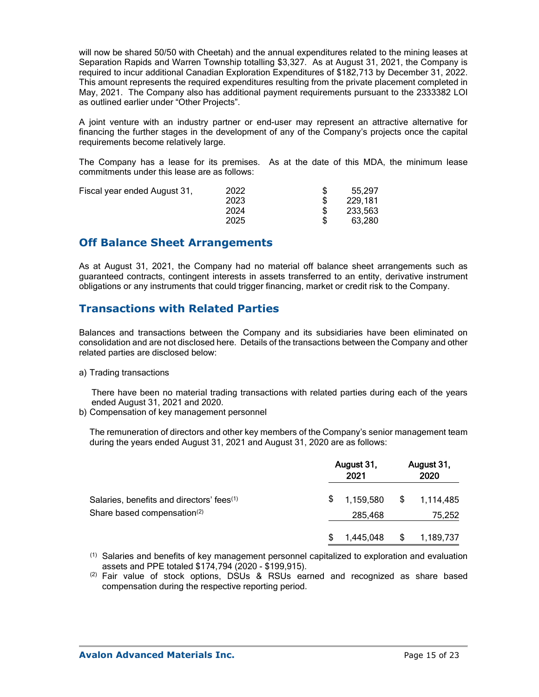will now be shared 50/50 with Cheetah) and the annual expenditures related to the mining leases at Separation Rapids and Warren Township totalling \$3,327. As at August 31, 2021, the Company is required to incur additional Canadian Exploration Expenditures of \$182,713 by December 31, 2022. This amount represents the required expenditures resulting from the private placement completed in May, 2021. The Company also has additional payment requirements pursuant to the 2333382 LOI as outlined earlier under "Other Projects".

A joint venture with an industry partner or end-user may represent an attractive alternative for financing the further stages in the development of any of the Company's projects once the capital requirements become relatively large.

The Company has a lease for its premises. As at the date of this MDA, the minimum lease commitments under this lease are as follows:

| Fiscal year ended August 31, | 2022 | 55,297  |
|------------------------------|------|---------|
|                              | 2023 | 229,181 |
|                              | 2024 | 233,563 |
|                              | 2025 | 63.280  |

## **Off Balance Sheet Arrangements**

As at August 31, 2021, the Company had no material off balance sheet arrangements such as guaranteed contracts, contingent interests in assets transferred to an entity, derivative instrument obligations or any instruments that could trigger financing, market or credit risk to the Company.

## **Transactions with Related Parties**

Balances and transactions between the Company and its subsidiaries have been eliminated on consolidation and are not disclosed here. Details of the transactions between the Company and other related parties are disclosed below:

#### a) Trading transactions

There have been no material trading transactions with related parties during each of the years ended August 31, 2021 and 2020.

b) Compensation of key management personnel

The remuneration of directors and other key members of the Company's senior management team during the years ended August 31, 2021 and August 31, 2020 are as follows:

|                                                       | August 31,<br>2021 |           | August 31,<br>2020 |           |
|-------------------------------------------------------|--------------------|-----------|--------------------|-----------|
| Salaries, benefits and directors' fees <sup>(1)</sup> | \$.                | 1,159,580 | \$                 | 1,114,485 |
| Share based compensation <sup>(2)</sup>               |                    | 285,468   |                    | 75,252    |
|                                                       | \$.                | 1,445,048 | \$                 | 1,189,737 |

 $<sup>(1)</sup>$  Salaries and benefits of key management personnel capitalized to exploration and evaluation</sup> assets and PPE totaled \$174,794 (2020 - \$199,915).

 $(2)$  Fair value of stock options, DSUs & RSUs earned and recognized as share based compensation during the respective reporting period.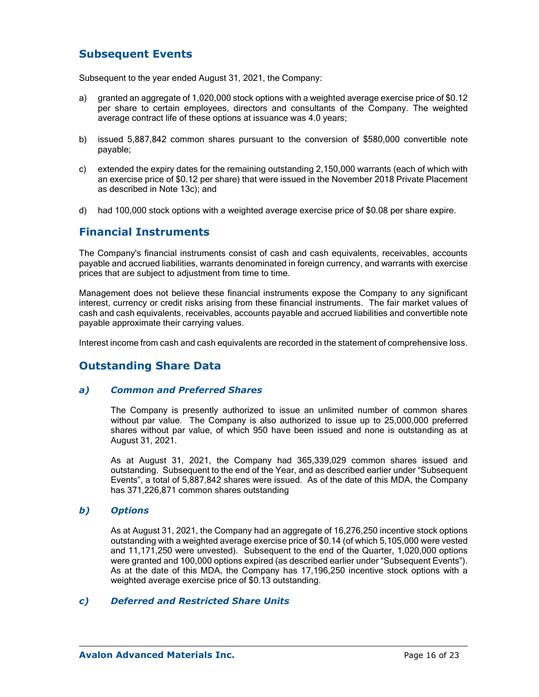## **Subsequent Events**

Subsequent to the year ended August 31, 2021, the Company:

- a) granted an aggregate of 1,020,000 stock options with a weighted average exercise price of \$0.12 per share to certain employees, directors and consultants of the Company. The weighted average contract life of these options at issuance was 4.0 years;
- b) issued 5,887,842 common shares pursuant to the conversion of \$580,000 convertible note payable;
- c) extended the expiry dates for the remaining outstanding 2,150,000 warrants (each of which with an exercise price of \$0.12 per share) that were issued in the November 2018 Private Placement as described in Note 13c); and
- d) had 100,000 stock options with a weighted average exercise price of \$0.08 per share expire.

### **Financial Instruments**

The Company's financial instruments consist of cash and cash equivalents, receivables, accounts payable and accrued liabilities, warrants denominated in foreign currency, and warrants with exercise prices that are subject to adjustment from time to time.

Management does not believe these financial instruments expose the Company to any significant interest, currency or credit risks arising from these financial instruments. The fair market values of cash and cash equivalents, receivables, accounts payable and accrued liabilities and convertible note payable approximate their carrying values.

Interest income from cash and cash equivalents are recorded in the statement of comprehensive loss.

# **Outstanding Share Data**

### *a) Common and Preferred Shares*

The Company is presently authorized to issue an unlimited number of common shares without par value. The Company is also authorized to issue up to 25,000,000 preferred shares without par value, of which 950 have been issued and none is outstanding as at August 31, 2021.

As at August 31, 2021, the Company had 365,339,029 common shares issued and outstanding. Subsequent to the end of the Year, and as described earlier under "Subsequent Events", a total of 5,887,842 shares were issued. As of the date of this MDA, the Company has 371,226,871 common shares outstanding

### *b) Options*

As at August 31, 2021, the Company had an aggregate of 16,276,250 incentive stock options outstanding with a weighted average exercise price of \$0.14 (of which 5,105,000 were vested and 11,171,250 were unvested). Subsequent to the end of the Quarter, 1,020,000 options were granted and 100,000 options expired (as described earlier under "Subsequent Events"). As at the date of this MDA, the Company has 17,196,250 incentive stock options with a weighted average exercise price of \$0.13 outstanding.

### *c) Deferred and Restricted Share Units*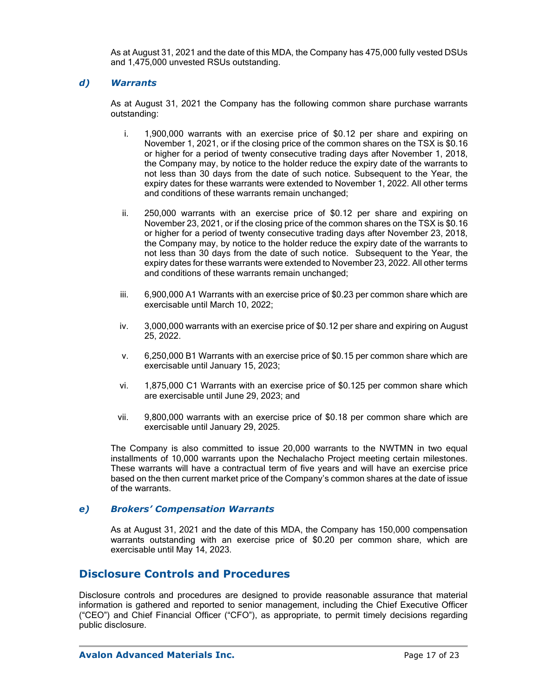As at August 31, 2021 and the date of this MDA, the Company has 475,000 fully vested DSUs and 1,475,000 unvested RSUs outstanding.

### *d) Warrants*

As at August 31, 2021 the Company has the following common share purchase warrants outstanding:

- i. 1,900,000 warrants with an exercise price of \$0.12 per share and expiring on November 1, 2021, or if the closing price of the common shares on the TSX is \$0.16 or higher for a period of twenty consecutive trading days after November 1, 2018, the Company may, by notice to the holder reduce the expiry date of the warrants to not less than 30 days from the date of such notice. Subsequent to the Year, the expiry dates for these warrants were extended to November 1, 2022. All other terms and conditions of these warrants remain unchanged;
- ii. 250,000 warrants with an exercise price of \$0.12 per share and expiring on November 23, 2021, or if the closing price of the common shares on the TSX is \$0.16 or higher for a period of twenty consecutive trading days after November 23, 2018, the Company may, by notice to the holder reduce the expiry date of the warrants to not less than 30 days from the date of such notice. Subsequent to the Year, the expiry dates for these warrants were extended to November 23, 2022. All other terms and conditions of these warrants remain unchanged;
- iii. 6,900,000 A1 Warrants with an exercise price of \$0.23 per common share which are exercisable until March 10, 2022;
- iv. 3,000,000 warrants with an exercise price of \$0.12 per share and expiring on August 25, 2022.
- v. 6,250,000 B1 Warrants with an exercise price of \$0.15 per common share which are exercisable until January 15, 2023;
- vi. 1,875,000 C1 Warrants with an exercise price of \$0.125 per common share which are exercisable until June 29, 2023; and
- vii. 9,800,000 warrants with an exercise price of \$0.18 per common share which are exercisable until January 29, 2025.

The Company is also committed to issue 20,000 warrants to the NWTMN in two equal installments of 10,000 warrants upon the Nechalacho Project meeting certain milestones. These warrants will have a contractual term of five years and will have an exercise price based on the then current market price of the Company's common shares at the date of issue of the warrants.

### *e) Brokers' Compensation Warrants*

As at August 31, 2021 and the date of this MDA, the Company has 150,000 compensation warrants outstanding with an exercise price of \$0.20 per common share, which are exercisable until May 14, 2023.

# **Disclosure Controls and Procedures**

Disclosure controls and procedures are designed to provide reasonable assurance that material information is gathered and reported to senior management, including the Chief Executive Officer ("CEO") and Chief Financial Officer ("CFO"), as appropriate, to permit timely decisions regarding public disclosure.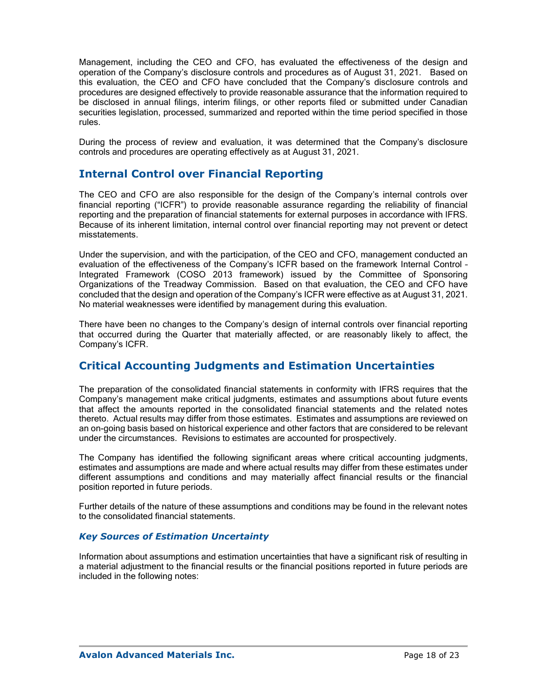Management, including the CEO and CFO, has evaluated the effectiveness of the design and operation of the Company's disclosure controls and procedures as of August 31, 2021. Based on this evaluation, the CEO and CFO have concluded that the Company's disclosure controls and procedures are designed effectively to provide reasonable assurance that the information required to be disclosed in annual filings, interim filings, or other reports filed or submitted under Canadian securities legislation, processed, summarized and reported within the time period specified in those rules.

During the process of review and evaluation, it was determined that the Company's disclosure controls and procedures are operating effectively as at August 31, 2021.

# **Internal Control over Financial Reporting**

The CEO and CFO are also responsible for the design of the Company's internal controls over financial reporting ("ICFR") to provide reasonable assurance regarding the reliability of financial reporting and the preparation of financial statements for external purposes in accordance with IFRS. Because of its inherent limitation, internal control over financial reporting may not prevent or detect misstatements.

Under the supervision, and with the participation, of the CEO and CFO, management conducted an evaluation of the effectiveness of the Company's ICFR based on the framework Internal Control – Integrated Framework (COSO 2013 framework) issued by the Committee of Sponsoring Organizations of the Treadway Commission. Based on that evaluation, the CEO and CFO have concluded that the design and operation of the Company's ICFR were effective as at August 31, 2021. No material weaknesses were identified by management during this evaluation.

There have been no changes to the Company's design of internal controls over financial reporting that occurred during the Quarter that materially affected, or are reasonably likely to affect, the Company's ICFR.

# **Critical Accounting Judgments and Estimation Uncertainties**

The preparation of the consolidated financial statements in conformity with IFRS requires that the Company's management make critical judgments, estimates and assumptions about future events that affect the amounts reported in the consolidated financial statements and the related notes thereto. Actual results may differ from those estimates. Estimates and assumptions are reviewed on an on-going basis based on historical experience and other factors that are considered to be relevant under the circumstances. Revisions to estimates are accounted for prospectively.

The Company has identified the following significant areas where critical accounting judgments, estimates and assumptions are made and where actual results may differ from these estimates under different assumptions and conditions and may materially affect financial results or the financial position reported in future periods.

Further details of the nature of these assumptions and conditions may be found in the relevant notes to the consolidated financial statements.

### *Key Sources of Estimation Uncertainty*

Information about assumptions and estimation uncertainties that have a significant risk of resulting in a material adjustment to the financial results or the financial positions reported in future periods are included in the following notes: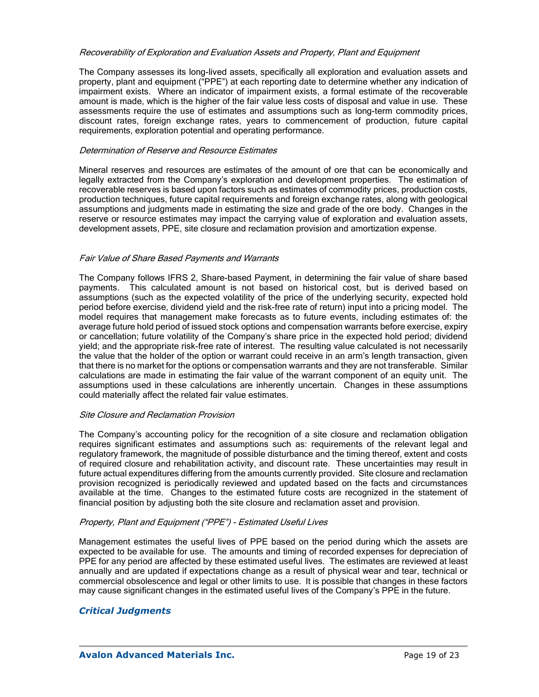#### Recoverability of Exploration and Evaluation Assets and Property, Plant and Equipment

The Company assesses its long-lived assets, specifically all exploration and evaluation assets and property, plant and equipment ("PPE") at each reporting date to determine whether any indication of impairment exists. Where an indicator of impairment exists, a formal estimate of the recoverable amount is made, which is the higher of the fair value less costs of disposal and value in use. These assessments require the use of estimates and assumptions such as long-term commodity prices, discount rates, foreign exchange rates, years to commencement of production, future capital requirements, exploration potential and operating performance.

#### Determination of Reserve and Resource Estimates

Mineral reserves and resources are estimates of the amount of ore that can be economically and legally extracted from the Company's exploration and development properties. The estimation of recoverable reserves is based upon factors such as estimates of commodity prices, production costs, production techniques, future capital requirements and foreign exchange rates, along with geological assumptions and judgments made in estimating the size and grade of the ore body. Changes in the reserve or resource estimates may impact the carrying value of exploration and evaluation assets, development assets, PPE, site closure and reclamation provision and amortization expense.

#### Fair Value of Share Based Payments and Warrants

The Company follows IFRS 2, Share-based Payment, in determining the fair value of share based payments. This calculated amount is not based on historical cost, but is derived based on assumptions (such as the expected volatility of the price of the underlying security, expected hold period before exercise, dividend yield and the risk-free rate of return) input into a pricing model. The model requires that management make forecasts as to future events, including estimates of: the average future hold period of issued stock options and compensation warrants before exercise, expiry or cancellation; future volatility of the Company's share price in the expected hold period; dividend yield; and the appropriate risk-free rate of interest. The resulting value calculated is not necessarily the value that the holder of the option or warrant could receive in an arm's length transaction, given that there is no market for the options or compensation warrants and they are not transferable. Similar calculations are made in estimating the fair value of the warrant component of an equity unit. The assumptions used in these calculations are inherently uncertain. Changes in these assumptions could materially affect the related fair value estimates.

#### Site Closure and Reclamation Provision

The Company's accounting policy for the recognition of a site closure and reclamation obligation requires significant estimates and assumptions such as: requirements of the relevant legal and regulatory framework, the magnitude of possible disturbance and the timing thereof, extent and costs of required closure and rehabilitation activity, and discount rate. These uncertainties may result in future actual expenditures differing from the amounts currently provided. Site closure and reclamation provision recognized is periodically reviewed and updated based on the facts and circumstances available at the time. Changes to the estimated future costs are recognized in the statement of financial position by adjusting both the site closure and reclamation asset and provision.

### Property, Plant and Equipment ("PPE") - Estimated Useful Lives

Management estimates the useful lives of PPE based on the period during which the assets are expected to be available for use. The amounts and timing of recorded expenses for depreciation of PPE for any period are affected by these estimated useful lives. The estimates are reviewed at least annually and are updated if expectations change as a result of physical wear and tear, technical or commercial obsolescence and legal or other limits to use. It is possible that changes in these factors may cause significant changes in the estimated useful lives of the Company's PPE in the future.

### *Critical Judgments*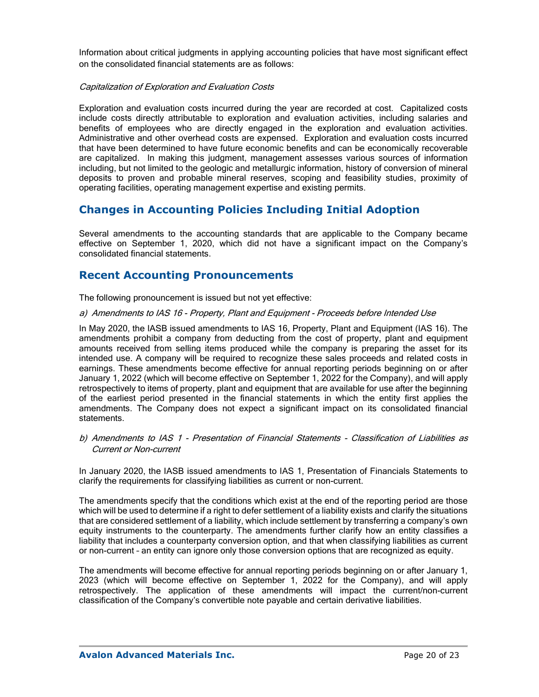Information about critical judgments in applying accounting policies that have most significant effect on the consolidated financial statements are as follows:

#### Capitalization of Exploration and Evaluation Costs

Exploration and evaluation costs incurred during the year are recorded at cost. Capitalized costs include costs directly attributable to exploration and evaluation activities, including salaries and benefits of employees who are directly engaged in the exploration and evaluation activities. Administrative and other overhead costs are expensed. Exploration and evaluation costs incurred that have been determined to have future economic benefits and can be economically recoverable are capitalized. In making this judgment, management assesses various sources of information including, but not limited to the geologic and metallurgic information, history of conversion of mineral deposits to proven and probable mineral reserves, scoping and feasibility studies, proximity of operating facilities, operating management expertise and existing permits.

# **Changes in Accounting Policies Including Initial Adoption**

Several amendments to the accounting standards that are applicable to the Company became effective on September 1, 2020, which did not have a significant impact on the Company's consolidated financial statements.

## **Recent Accounting Pronouncements**

The following pronouncement is issued but not yet effective:

#### a) Amendments to IAS 16 - Property, Plant and Equipment - Proceeds before Intended Use

In May 2020, the IASB issued amendments to IAS 16, Property, Plant and Equipment (IAS 16). The amendments prohibit a company from deducting from the cost of property, plant and equipment amounts received from selling items produced while the company is preparing the asset for its intended use. A company will be required to recognize these sales proceeds and related costs in earnings. These amendments become effective for annual reporting periods beginning on or after January 1, 2022 (which will become effective on September 1, 2022 for the Company), and will apply retrospectively to items of property, plant and equipment that are available for use after the beginning of the earliest period presented in the financial statements in which the entity first applies the amendments. The Company does not expect a significant impact on its consolidated financial statements.

b) Amendments to IAS 1 - Presentation of Financial Statements - Classification of Liabilities as Current or Non-current

In January 2020, the IASB issued amendments to IAS 1, Presentation of Financials Statements to clarify the requirements for classifying liabilities as current or non-current.

The amendments specify that the conditions which exist at the end of the reporting period are those which will be used to determine if a right to defer settlement of a liability exists and clarify the situations that are considered settlement of a liability, which include settlement by transferring a company's own equity instruments to the counterparty. The amendments further clarify how an entity classifies a liability that includes a counterparty conversion option, and that when classifying liabilities as current or non-current – an entity can ignore only those conversion options that are recognized as equity.

The amendments will become effective for annual reporting periods beginning on or after January 1, 2023 (which will become effective on September 1, 2022 for the Company), and will apply retrospectively. The application of these amendments will impact the current/non-current classification of the Company's convertible note payable and certain derivative liabilities.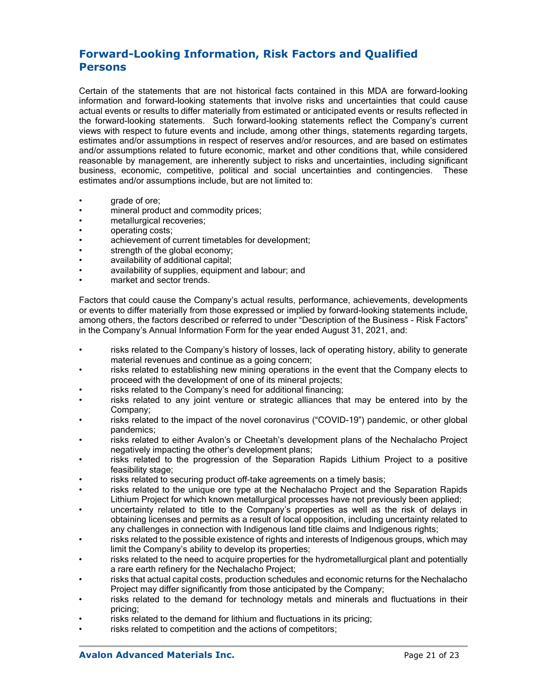# **Forward-Looking Information, Risk Factors and Qualified Persons**

Certain of the statements that are not historical facts contained in this MDA are forward-looking information and forward-looking statements that involve risks and uncertainties that could cause actual events or results to differ materially from estimated or anticipated events or results reflected in the forward-looking statements. Such forward-looking statements reflect the Company's current views with respect to future events and include, among other things, statements regarding targets, estimates and/or assumptions in respect of reserves and/or resources, and are based on estimates and/or assumptions related to future economic, market and other conditions that, while considered reasonable by management, are inherently subject to risks and uncertainties, including significant business, economic, competitive, political and social uncertainties and contingencies. These estimates and/or assumptions include, but are not limited to:

- grade of ore;
- mineral product and commodity prices;
- metallurgical recoveries:
- operating costs;
- achievement of current timetables for development;
- strength of the global economy;
- availability of additional capital;
- availability of supplies, equipment and labour; and
- market and sector trends.

Factors that could cause the Company's actual results, performance, achievements, developments or events to differ materially from those expressed or implied by forward-looking statements include, among others, the factors described or referred to under "Description of the Business - Risk Factors" in the Company's Annual Information Form for the year ended August 31, 2021, and:

- risks related to the Company's history of losses, lack of operating history, ability to generate material revenues and continue as a going concern;
- risks related to establishing new mining operations in the event that the Company elects to proceed with the development of one of its mineral projects;
- risks related to the Company's need for additional financing;
- risks related to any joint venture or strategic alliances that may be entered into by the Company;
- risks related to the impact of the novel coronavirus ("COVID-19") pandemic, or other global pandemics;
- risks related to either Avalon's or Cheetah's development plans of the Nechalacho Project negatively impacting the other's development plans;
- risks related to the progression of the Separation Rapids Lithium Project to a positive feasibility stage;
- risks related to securing product off-take agreements on a timely basis;
- risks related to the unique ore type at the Nechalacho Project and the Separation Rapids Lithium Project for which known metallurgical processes have not previously been applied;
- uncertainty related to title to the Company's properties as well as the risk of delays in obtaining licenses and permits as a result of local opposition, including uncertainty related to any challenges in connection with Indigenous land title claims and Indigenous rights;
- risks related to the possible existence of rights and interests of Indigenous groups, which may limit the Company's ability to develop its properties;
- risks related to the need to acquire properties for the hydrometallurgical plant and potentially a rare earth refinery for the Nechalacho Project;
- risks that actual capital costs, production schedules and economic returns for the Nechalacho Project may differ significantly from those anticipated by the Company;
- risks related to the demand for technology metals and minerals and fluctuations in their pricing;
- risks related to the demand for lithium and fluctuations in its pricing;
- risks related to competition and the actions of competitors;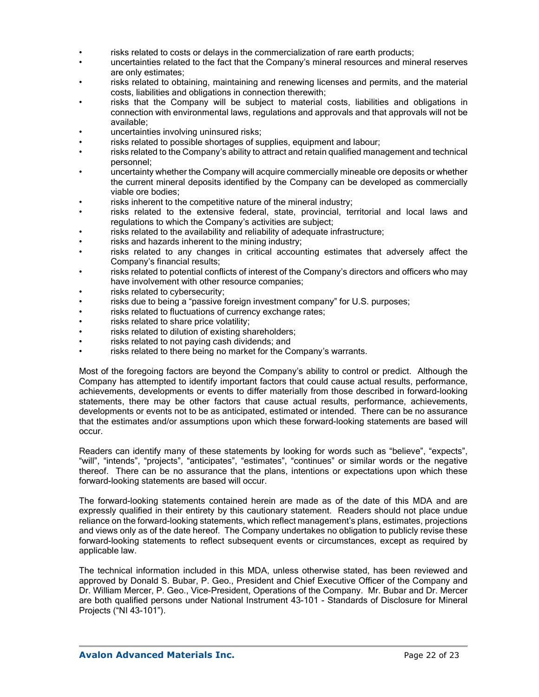- risks related to costs or delays in the commercialization of rare earth products;
- uncertainties related to the fact that the Company's mineral resources and mineral reserves are only estimates;
- risks related to obtaining, maintaining and renewing licenses and permits, and the material costs, liabilities and obligations in connection therewith;
- risks that the Company will be subject to material costs, liabilities and obligations in connection with environmental laws, regulations and approvals and that approvals will not be available;
- uncertainties involving uninsured risks;
- risks related to possible shortages of supplies, equipment and labour;
- risks related to the Company's ability to attract and retain qualified management and technical personnel;
- uncertainty whether the Company will acquire commercially mineable ore deposits or whether the current mineral deposits identified by the Company can be developed as commercially viable ore bodies;
- risks inherent to the competitive nature of the mineral industry;
- risks related to the extensive federal, state, provincial, territorial and local laws and regulations to which the Company's activities are subject;
- risks related to the availability and reliability of adequate infrastructure;
- risks and hazards inherent to the mining industry;
- risks related to any changes in critical accounting estimates that adversely affect the Company's financial results;
- risks related to potential conflicts of interest of the Company's directors and officers who may have involvement with other resource companies;
- risks related to cybersecurity;
- risks due to being a "passive foreign investment company" for U.S. purposes;
- risks related to fluctuations of currency exchange rates;
- risks related to share price volatility;
- risks related to dilution of existing shareholders;
- risks related to not paying cash dividends; and
- risks related to there being no market for the Company's warrants.

Most of the foregoing factors are beyond the Company's ability to control or predict. Although the Company has attempted to identify important factors that could cause actual results, performance, achievements, developments or events to differ materially from those described in forward-looking statements, there may be other factors that cause actual results, performance, achievements, developments or events not to be as anticipated, estimated or intended. There can be no assurance that the estimates and/or assumptions upon which these forward-looking statements are based will occur.

Readers can identify many of these statements by looking for words such as "believe", "expects", "will", "intends", "projects", "anticipates", "estimates", "continues" or similar words or the negative thereof. There can be no assurance that the plans, intentions or expectations upon which these forward-looking statements are based will occur.

The forward-looking statements contained herein are made as of the date of this MDA and are expressly qualified in their entirety by this cautionary statement. Readers should not place undue reliance on the forward-looking statements, which reflect management's plans, estimates, projections and views only as of the date hereof. The Company undertakes no obligation to publicly revise these forward-looking statements to reflect subsequent events or circumstances, except as required by applicable law.

The technical information included in this MDA, unless otherwise stated, has been reviewed and approved by Donald S. Bubar, P. Geo., President and Chief Executive Officer of the Company and Dr. William Mercer, P. Geo., Vice-President, Operations of the Company. Mr. Bubar and Dr. Mercer are both qualified persons under National Instrument 43-101 - Standards of Disclosure for Mineral Projects ("NI 43-101").